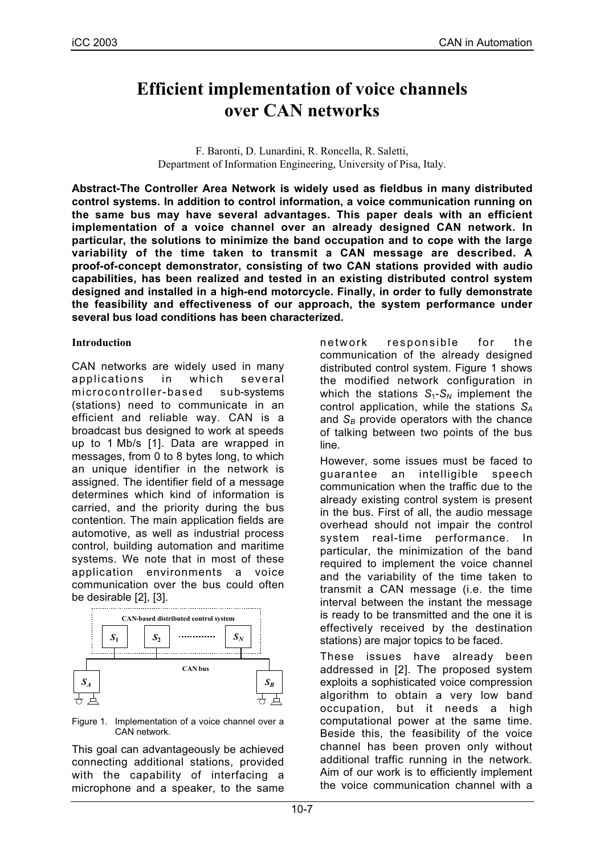# **Efficient implementation of voice channels over CAN networks**

F. Baronti, D. Lunardini, R. Roncella, R. Saletti, Department of Information Engineering, University of Pisa, Italy.

**Abstract-The Controller Area Network is widely used as fieldbus in many distributed control systems. In addition to control information, a voice communication running on the same bus may have several advantages. This paper deals with an efficient implementation of a voice channel over an already designed CAN network. In particular, the solutions to minimize the band occupation and to cope with the large variability of the time taken to transmit a CAN message are described. A proof-of-concept demonstrator, consisting of two CAN stations provided with audio capabilities, has been realized and tested in an existing distributed control system designed and installed in a high-end motorcycle. Finally, in order to fully demonstrate the feasibility and effectiveness of our approach, the system performance under several bus load conditions has been characterized.**

## **Introduction**

CAN networks are widely used in many applications in which several microcontroller-based sub-systems (stations) need to communicate in an efficient and reliable way. CAN is a broadcast bus designed to work at speeds up to 1 Mb/s [1]. Data are wrapped in messages, from 0 to 8 bytes long, to which an unique identifier in the network is assigned. The identifier field of a message determines which kind of information is carried, and the priority during the bus contention. The main application fields are automotive, as well as industrial process control, building automation and maritime systems. We note that in most of these application environments a voice communication over the bus could often be desirable [2], [3].



Figure 1. Implementation of a voice channel over a CAN network.

This goal can advantageously be achieved connecting additional stations, provided with the capability of interfacing a microphone and a speaker, to the same network responsible for the communication of the already designed distributed control system. Figure 1 shows the modified network configuration in which the stations  $S_1-S_N$  implement the control application, while the stations *SA* and  $S_B$  provide operators with the chance of talking between two points of the bus line.

However, some issues must be faced to guarantee an intelligible speech communication when the traffic due to the already existing control system is present in the bus. First of all, the audio message overhead should not impair the control system real-time performance. In particular, the minimization of the band required to implement the voice channel and the variability of the time taken to transmit a CAN message (i.e. the time interval between the instant the message is ready to be transmitted and the one it is effectively received by the destination stations) are major topics to be faced.

These issues have already been addressed in [2]. The proposed system exploits a sophisticated voice compression algorithm to obtain a very low band occupation, but it needs a high computational power at the same time. Beside this, the feasibility of the voice channel has been proven only without additional traffic running in the network. Aim of our work is to efficiently implement the voice communication channel with a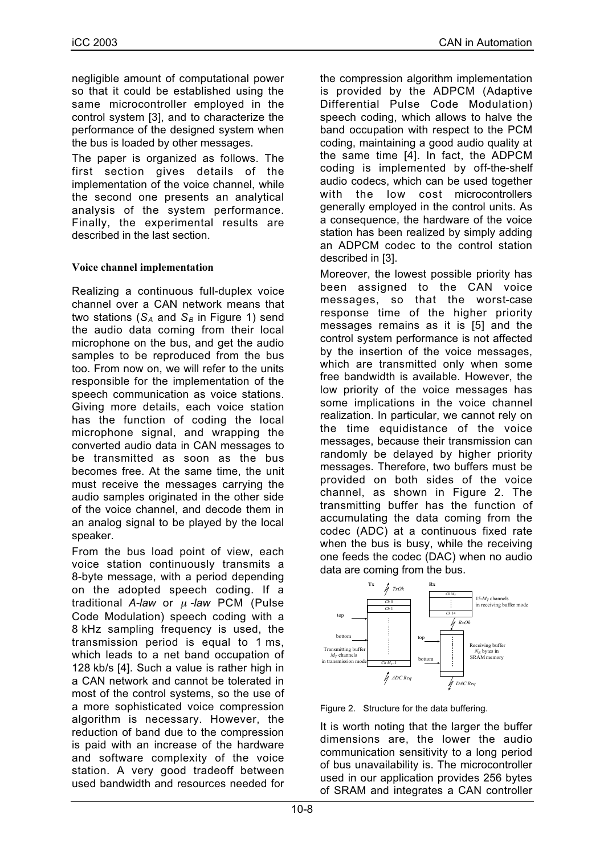negligible amount of computational power so that it could be established using the same microcontroller employed in the control system [3], and to characterize the performance of the designed system when the bus is loaded by other messages.

The paper is organized as follows. The first section gives details of the implementation of the voice channel, while the second one presents an analytical analysis of the system performance. Finally, the experimental results are described in the last section.

## **Voice channel implementation**

Realizing a continuous full-duplex voice channel over a CAN network means that two stations  $(S_A \text{ and } S_B \text{ in Figure 1})$  send the audio data coming from their local microphone on the bus, and get the audio samples to be reproduced from the bus too. From now on, we will refer to the units responsible for the implementation of the speech communication as voice stations. Giving more details, each voice station has the function of coding the local microphone signal, and wrapping the converted audio data in CAN messages to be transmitted as soon as the bus becomes free. At the same time, the unit must receive the messages carrying the audio samples originated in the other side of the voice channel, and decode them in an analog signal to be played by the local speaker.

From the bus load point of view, each voice station continuously transmits a 8-byte message, with a period depending on the adopted speech coding. If a traditional *A-law* or <sup>µ</sup> *-law* PCM (Pulse Code Modulation) speech coding with a 8 kHz sampling frequency is used, the transmission period is equal to 1 ms, which leads to a net band occupation of 128 kb/s [4]. Such a value is rather high in a CAN network and cannot be tolerated in most of the control systems, so the use of a more sophisticated voice compression algorithm is necessary. However, the reduction of band due to the compression is paid with an increase of the hardware and software complexity of the voice station. A very good tradeoff between used bandwidth and resources needed for

the compression algorithm implementation is provided by the ADPCM (Adaptive Differential Pulse Code Modulation) speech coding, which allows to halve the band occupation with respect to the PCM coding, maintaining a good audio quality at the same time [4]. In fact, the ADPCM coding is implemented by off-the-shelf audio codecs, which can be used together with the low cost microcontrollers generally employed in the control units. As a consequence, the hardware of the voice station has been realized by simply adding an ADPCM codec to the control station described in [3].

Moreover, the lowest possible priority has been assigned to the CAN voice messages, so that the worst-case response time of the higher priority messages remains as it is [5] and the control system performance is not affected by the insertion of the voice messages, which are transmitted only when some free bandwidth is available. However, the low priority of the voice messages has some implications in the voice channel realization. In particular, we cannot rely on the time equidistance of the voice messages, because their transmission can randomly be delayed by higher priority messages. Therefore, two buffers must be provided on both sides of the voice channel, as shown in Figure 2. The transmitting buffer has the function of accumulating the data coming from the codec (ADC) at a continuous fixed rate when the bus is busy, while the receiving one feeds the codec (DAC) when no audio data are coming from the bus.





It is worth noting that the larger the buffer dimensions are, the lower the audio communication sensitivity to a long period of bus unavailability is. The microcontroller used in our application provides 256 bytes of SRAM and integrates a CAN controller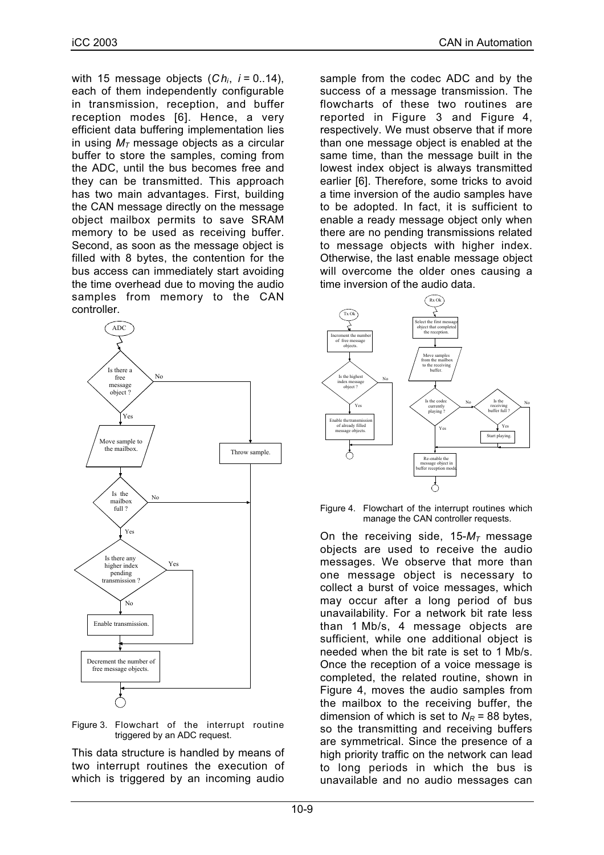with 15 message objects (*Chi*, *i* = 0..14), each of them independently configurable in transmission, reception, and buffer reception modes [6]. Hence, a very efficient data buffering implementation lies in using  $M<sub>T</sub>$  message objects as a circular buffer to store the samples, coming from the ADC, until the bus becomes free and they can be transmitted. This approach has two main advantages. First, building the CAN message directly on the message object mailbox permits to save SRAM memory to be used as receiving buffer. Second, as soon as the message object is filled with 8 bytes, the contention for the bus access can immediately start avoiding the time overhead due to moving the audio samples from memory to the CAN controller.





This data structure is handled by means of two interrupt routines the execution of which is triggered by an incoming audio sample from the codec ADC and by the success of a message transmission. The flowcharts of these two routines are reported in Figure 3 and Figure 4, respectively. We must observe that if more than one message object is enabled at the same time, than the message built in the lowest index object is always transmitted earlier [6]. Therefore, some tricks to avoid a time inversion of the audio samples have to be adopted. In fact, it is sufficient to enable a ready message object only when there are no pending transmissions related to message objects with higher index. Otherwise, the last enable message object will overcome the older ones causing a time inversion of the audio data.



Figure 4. Flowchart of the interrupt routines which manage the CAN controller requests.

On the receiving side,  $15-M<sub>T</sub>$  message objects are used to receive the audio messages. We observe that more than one message object is necessary to collect a burst of voice messages, which may occur after a long period of bus unavailability. For a network bit rate less than 1 Mb/s, 4 message objects are sufficient, while one additional object is needed when the bit rate is set to 1 Mb/s. Once the reception of a voice message is completed, the related routine, shown in Figure 4, moves the audio samples from the mailbox to the receiving buffer, the dimension of which is set to  $N_R$  = 88 bytes, so the transmitting and receiving buffers are symmetrical. Since the presence of a high priority traffic on the network can lead to long periods in which the bus is unavailable and no audio messages can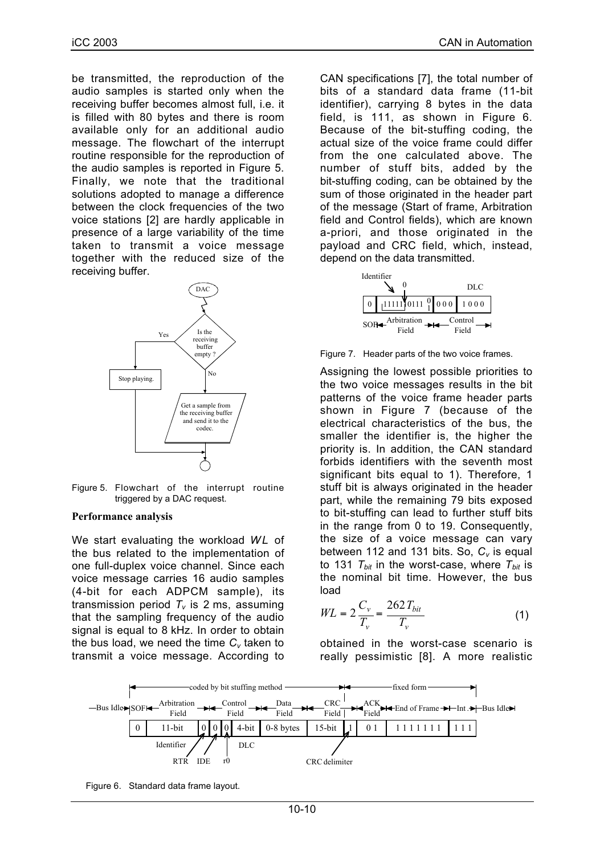be transmitted, the reproduction of the audio samples is started only when the receiving buffer becomes almost full, i.e. it is filled with 80 bytes and there is room available only for an additional audio message. The flowchart of the interrupt routine responsible for the reproduction of the audio samples is reported in Figure 5. Finally, we note that the traditional solutions adopted to manage a difference between the clock frequencies of the two voice stations [2] are hardly applicable in presence of a large variability of the time taken to transmit a voice message together with the reduced size of the receiving buffer.



Figure 5. Flowchart of the interrupt routine triggered by a DAC request.

#### **Performance analysis**

We start evaluating the workload WL of the bus related to the implementation of one full-duplex voice channel. Since each voice message carries 16 audio samples (4-bit for each ADPCM sample), its transmission period  $T_v$  is 2 ms, assuming that the sampling frequency of the audio signal is equal to 8 kHz. In order to obtain the bus load, we need the time  $C_v$  taken to transmit a voice message. According to CAN specifications [7], the total number of bits of a standard data frame (11-bit identifier), carrying 8 bytes in the data field, is 111, as shown in Figure 6. Because of the bit-stuffing coding, the actual size of the voice frame could differ from the one calculated above. The number of stuff bits, added by the bit-stuffing coding, can be obtained by the sum of those originated in the header part of the message (Start of frame, Arbitration field and Control fields), which are known a-priori, and those originated in the payload and CRC field, which, instead, depend on the data transmitted.



Figure 7. Header parts of the two voice frames.

Assigning the lowest possible priorities to the two voice messages results in the bit patterns of the voice frame header parts shown in Figure 7 (because of the electrical characteristics of the bus, the smaller the identifier is, the higher the priority is. In addition, the CAN standard forbids identifiers with the seventh most significant bits equal to 1). Therefore, 1 stuff bit is always originated in the header part, while the remaining 79 bits exposed to bit-stuffing can lead to further stuff bits in the range from 0 to 19. Consequently, the size of a voice message can vary between 112 and 131 bits. So, C<sub>v</sub> is equal to 131  $T_{bit}$  in the worst-case, where  $T_{bit}$  is the nominal bit time. However, the bus load

$$
WL = 2\frac{C_v}{T_v} = \frac{262T_{bit}}{T_v}
$$
 (1)

obtained in the worst-case scenario is really pessimistic [8]. A more realistic



Figure 6. Standard data frame layout.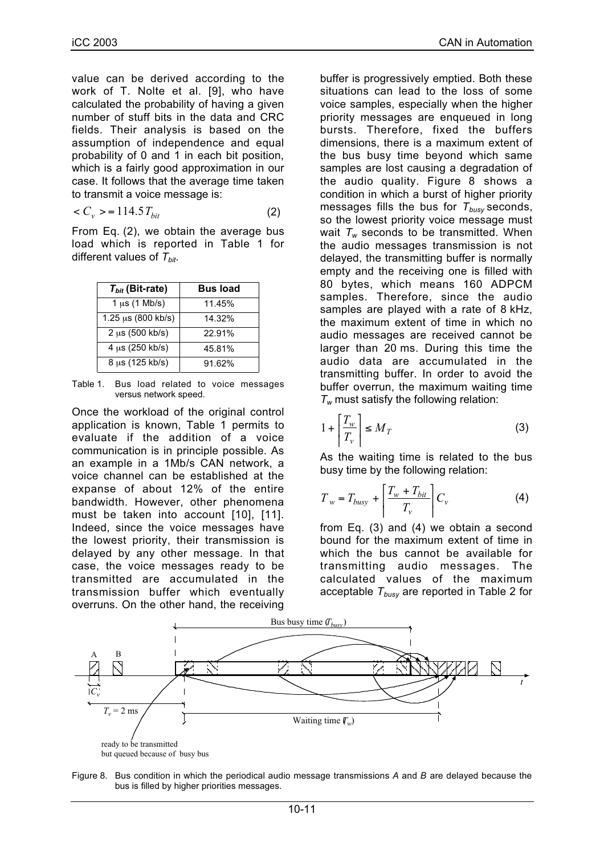value can be derived according to the work of T. Nolte et al. [9], who have calculated the probability of having a given number of stuff bits in the data and CRC fields. Their analysis is based on the assumption of independence and equal probability of 0 and 1 in each bit position, which is a fairly good approximation in our case. It follows that the average time taken to transmit a voice message is:

$$
\langle C_{\nu} \rangle = 114.5 T_{bit} \tag{2}
$$

From Eq. (2), we obtain the average bus load which is reported in Table 1 for different values of  $T_{bit}$ .

| $T_{bit}$ (Bit-rate)           | <b>Bus load</b> |
|--------------------------------|-----------------|
| $1 \mu s$ (1 Mb/s)             | 11.45%          |
| $1.25 \,\mu s$ (800 kb/s)      | 14.32%          |
| $2 \mu s (500 \, \text{kb/s})$ | 22.91%          |
| $4 \mu s (250 \text{ kb/s})$   | 45.81%          |
| 8 µs (125 kb/s)                | 91.62%          |

Table 1. Bus load related to voice messages versus network speed.

Once the workload of the original control application is known, Table 1 permits to evaluate if the addition of a voice communication is in principle possible. As an example in a 1Mb/s CAN network, a voice channel can be established at the expanse of about 12% of the entire bandwidth. However, other phenomena must be taken into account [10], [11]. Indeed, since the voice messages have the lowest priority, their transmission is delayed by any other message. In that case, the voice messages ready to be transmitted are accumulated in the transmission buffer which eventually overruns. On the other hand, the receiving

buffer is progressively emptied. Both these situations can lead to the loss of some voice samples, especially when the higher priority messages are enqueued in long bursts. Therefore, fixed the buffers dimensions, there is a maximum extent of the bus busy time beyond which same samples are lost causing a degradation of the audio quality. Figure 8 shows a condition in which a burst of higher priority messages fills the bus for  $T_{\text{busv}}$  seconds, so the lowest priority voice message must wait  $T_w$  seconds to be transmitted. When the audio messages transmission is not delayed, the transmitting buffer is normally empty and the receiving one is filled with 80 bytes, which means 160 ADPCM samples. Therefore, since the audio samples are played with a rate of 8 kHz, the maximum extent of time in which no audio messages are received cannot be larger than 20 ms. During this time the audio data are accumulated in the transmitting buffer. In order to avoid the buffer overrun, the maximum waiting time *Tw* must satisfy the following relation:

$$
1 + \left[ \frac{T_w}{T_v} \right] \le M_T \tag{3}
$$

As the waiting time is related to the bus busy time by the following relation:

$$
T_w = T_{busy} + \left[\frac{T_w + T_{bit}}{T_v}\right]C_v
$$
 (4)

from Eq. (3) and (4) we obtain a second bound for the maximum extent of time in which the bus cannot be available for transmitting audio messages. The calculated values of the maximum acceptable  $T_{busy}$  are reported in Table 2 for



Figure 8. Bus condition in which the periodical audio message transmissions *A* and *B* are delayed because the bus is filled by higher priorities messages.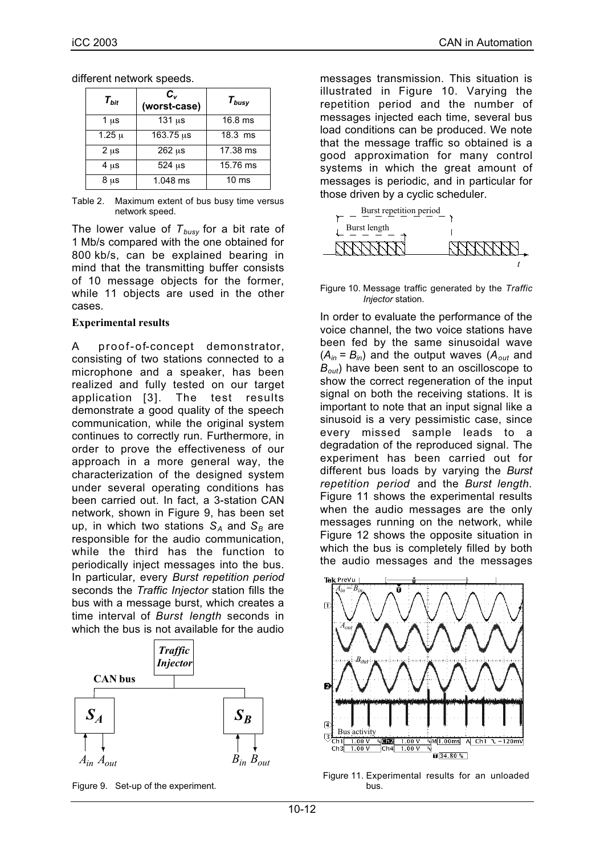| $T_{bit}$  | $c_{v}$<br>(worst-case) | $T_{busy}$       |
|------------|-------------------------|------------------|
| 1 $\mu$ s  | $131 \mu s$             | $16.8$ ms        |
| $1.25 \mu$ | $163.75 \,\mu s$        | $18.3$ ms        |
| $2 \mu s$  | $262 \mu s$             | 17.38 ms         |
| $4 \mu s$  | 524 µs                  | 15.76 ms         |
| $8 \mu s$  | $1.048$ ms              | 10 <sub>ms</sub> |

different network speeds.

Table 2. Maximum extent of bus busy time versus network speed.

The lower value of  $T_{\text{busv}}$  for a bit rate of 1 Mb/s compared with the one obtained for 800 kb/s, can be explained bearing in mind that the transmitting buffer consists of 10 message objects for the former, while 11 objects are used in the other cases.

### **Experimental results**

A proof-of-concept demonstrator, consisting of two stations connected to a microphone and a speaker, has been realized and fully tested on our target application [3]. The test results demonstrate a good quality of the speech communication, while the original system continues to correctly run. Furthermore, in order to prove the effectiveness of our approach in a more general way, the characterization of the designed system under several operating conditions has been carried out. In fact, a 3-station CAN network, shown in Figure 9, has been set up, in which two stations  $S_A$  and  $S_B$  are responsible for the audio communication, while the third has the function to periodically inject messages into the bus. In particular, every *Burst repetition period* seconds the *Traffic Injector* station fills the bus with a message burst, which creates a time interval of *Burst length* seconds in which the bus is not available for the audio



Figure 9. Set-up of the experiment.

messages transmission. This situation is illustrated in Figure 10. Varying the repetition period and the number of messages injected each time, several bus load conditions can be produced. We note that the message traffic so obtained is a good approximation for many control systems in which the great amount of messages is periodic, and in particular for those driven by a cyclic scheduler.



#### Figure 10. Message traffic generated by the *Traffic Injector* station.

In order to evaluate the performance of the voice channel, the two voice stations have been fed by the same sinusoidal wave  $(A_{in} = B_{in})$  and the output waves  $(A_{out}$  and *Bout*) have been sent to an oscilloscope to show the correct regeneration of the input signal on both the receiving stations. It is important to note that an input signal like a sinusoid is a very pessimistic case, since every missed sample leads to a degradation of the reproduced signal. The experiment has been carried out for different bus loads by varying the *Burst repetition period* and the *Burst length*. Figure 11 shows the experimental results when the audio messages are the only messages running on the network, while Figure 12 shows the opposite situation in which the bus is completely filled by both the audio messages and the messages



Figure 11. Experimental results for an unloaded bus.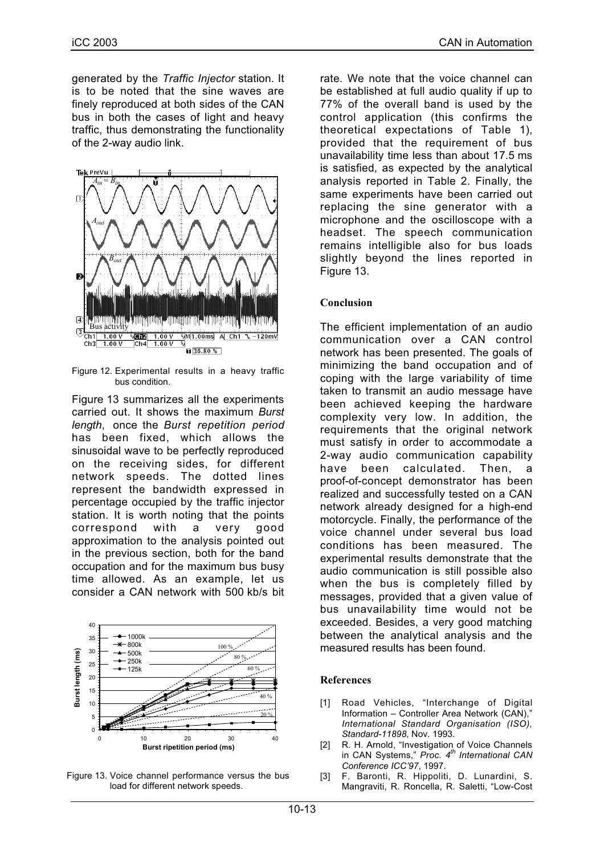generated by the *Traffic Injector* station. It is to be noted that the sine waves are finely reproduced at both sides of the CAN bus in both the cases of light and heavy traffic, thus demonstrating the functionality of the 2-way audio link.



Figure 12. Experimental results in a heavy traffic bus condition.

Figure 13 summarizes all the experiments carried out. It shows the maximum *Burst length*, once the *Burst repetition period* has been fixed, which allows the sinusoidal wave to be perfectly reproduced on the receiving sides, for different network speeds. The dotted lines represent the bandwidth expressed in percentage occupied by the traffic injector station. It is worth noting that the points correspond with a very good approximation to the analysis pointed out in the previous section, both for the band occupation and for the maximum bus busy time allowed. As an example, let us consider a CAN network with 500 kb/s bit



Figure 13. Voice channel performance versus the bus load for different network speeds.

rate. We note that the voice channel can be established at full audio quality if up to 77% of the overall band is used by the control application (this confirms the theoretical expectations of Table 1), provided that the requirement of bus unavailability time less than about 17.5 ms is satisfied, as expected by the analytical analysis reported in Table 2. Finally, the same experiments have been carried out replacing the sine generator with a microphone and the oscilloscope with a headset. The speech communication remains intelligible also for bus loads slightly beyond the lines reported in Figure 13.

### **Conclusion**

The efficient implementation of an audio communication over a CAN control network has been presented. The goals of minimizing the band occupation and of coping with the large variability of time taken to transmit an audio message have been achieved keeping the hardware complexity very low. In addition, the requirements that the original network must satisfy in order to accommodate a 2-way audio communication capability have been calculated. Then, a proof-of-concept demonstrator has been realized and successfully tested on a CAN network already designed for a high-end motorcycle. Finally, the performance of the voice channel under several bus load conditions has been measured. The experimental results demonstrate that the audio communication is still possible also when the bus is completely filled by messages, provided that a given value of bus unavailability time would not be exceeded. Besides, a very good matching between the analytical analysis and the measured results has been found.

#### **References**

- [1] Road Vehicles, "Interchange of Digital Information – Controller Area Network (CAN)," *International Standard Organisation (ISO), Standard-11898*, Nov. 1993.
- [2] R. H. Arnold, "Investigation of Voice Channels in CAN Systems," *Proc. 4th International CAN Conference ICC'97*, 1997.
- [3] F. Baronti, R. Hippoliti, D. Lunardini, S. Mangraviti, R. Roncella, R. Saletti, "Low-Cost